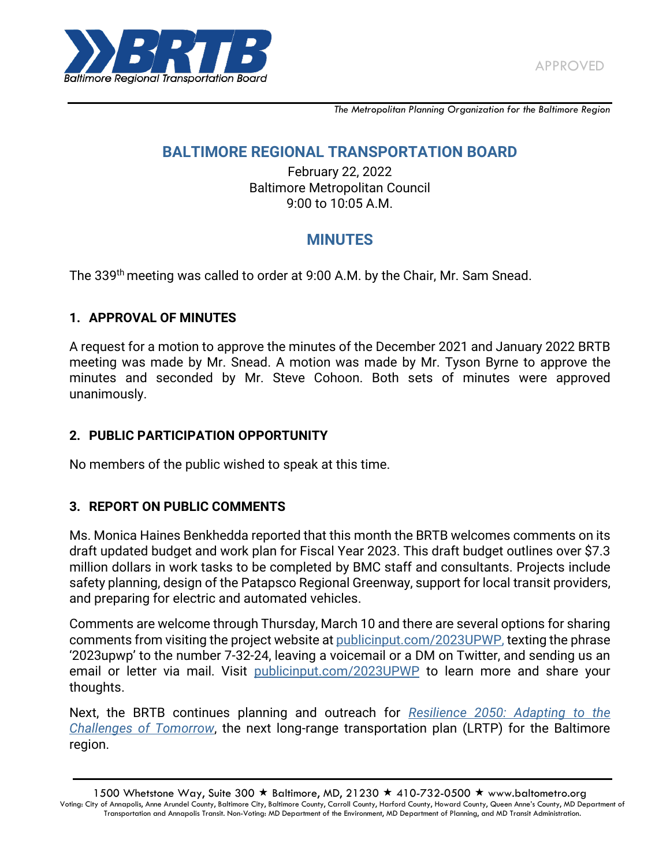

*The Metropolitan Planning Organization for the Baltimore Region*

## **BALTIMORE REGIONAL TRANSPORTATION BOARD**

February 22, 2022 Baltimore Metropolitan Council 9:00 to 10:05 A.M.

# **MINUTES**

The 339<sup>th</sup> meeting was called to order at 9:00 A.M. by the Chair, Mr. Sam Snead.

#### **1. APPROVAL OF MINUTES**

A request for a motion to approve the minutes of the December 2021 and January 2022 BRTB meeting was made by Mr. Snead. A motion was made by Mr. Tyson Byrne to approve the minutes and seconded by Mr. Steve Cohoon. Both sets of minutes were approved unanimously.

#### **2. PUBLIC PARTICIPATION OPPORTUNITY**

No members of the public wished to speak at this time.

#### **3. REPORT ON PUBLIC COMMENTS**

Ms. Monica Haines Benkhedda reported that this month the BRTB welcomes comments on its draft updated budget and work plan for Fiscal Year 2023. This draft budget outlines over \$7.3 million dollars in work tasks to be completed by BMC staff and consultants. Projects include safety planning, design of the Patapsco Regional Greenway, support for local transit providers, and preparing for electric and automated vehicles.

Comments are welcome through Thursday, March 10 and there are several options for sharing comments from visiting the project website at [publicinput.com/2023UPWP,](https://publicinput.com/2023UPWP) texting the phrase '2023upwp' to the number 7-32-24, leaving a voicemail or a DM on Twitter, and sending us an email or letter via mail. Visit [publicinput.com/2023UPWP](https://publicinput.com/2023UPWP) to learn more and share your thoughts.

Next, the BRTB continues planning and outreach for *[Resilience 2050: Adapting to the](http://www.resilience2050.com/)  [Challenges of Tomorrow](http://www.resilience2050.com/)*, the next long-range transportation plan (LRTP) for the Baltimore region.

1500 Whetstone Way, Suite 300  $\star$  Baltimore, MD, 21230  $\star$  410-732-0500  $\star$  www.baltometro.org Voting: City of Annapolis, Anne Arundel County, Baltimore City, Baltimore County, Carroll County, Harford County, Howard County, Queen Anne's County, MD Department of Transportation and Annapolis Transit. Non-Voting: MD Department of the Environment, MD Department of Planning, and MD Transit Administration.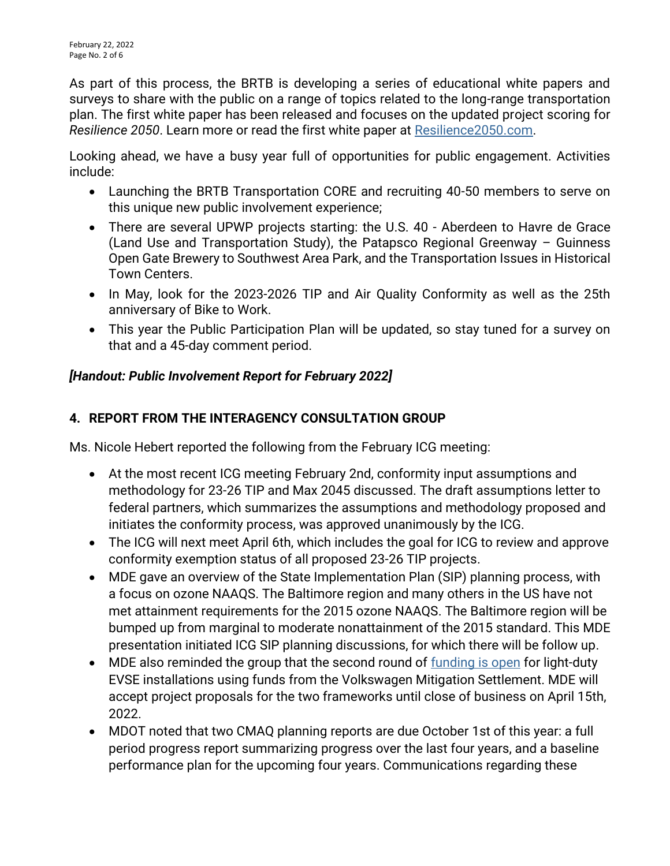As part of this process, the BRTB is developing a series of educational white papers and surveys to share with the public on a range of topics related to the long-range transportation plan. The first white paper has been released and focuses on the updated project scoring for *Resilience 2050*. Learn more or read the first white paper at [Resilience2050.com.](http://www.resilience2050.com/)

Looking ahead, we have a busy year full of opportunities for public engagement. Activities include:

- Launching the BRTB Transportation CORE and recruiting 40-50 members to serve on this unique new public involvement experience;
- There are several UPWP projects starting: the U.S. 40 Aberdeen to Havre de Grace (Land Use and Transportation Study), the Patapsco Regional Greenway – Guinness Open Gate Brewery to Southwest Area Park, and the Transportation Issues in Historical Town Centers.
- In May, look for the 2023-2026 TIP and Air Quality Conformity as well as the 25th anniversary of Bike to Work.
- This year the Public Participation Plan will be updated, so stay tuned for a survey on that and a 45-day comment period.

## *[Handout: Public Involvement Report for February 2022]*

## **4. REPORT FROM THE INTERAGENCY CONSULTATION GROUP**

Ms. Nicole Hebert reported the following from the February ICG meeting:

- At the most recent ICG meeting February 2nd, conformity input assumptions and methodology for 23-26 TIP and Max 2045 discussed. The draft assumptions letter to federal partners, which summarizes the assumptions and methodology proposed and initiates the conformity process, was approved unanimously by the ICG.
- The ICG will next meet April 6th, which includes the goal for ICG to review and approve conformity exemption status of all proposed 23-26 TIP projects.
- MDE gave an overview of the State Implementation Plan (SIP) planning process, with a focus on ozone NAAQS. The Baltimore region and many others in the US have not met attainment requirements for the 2015 ozone NAAQS. The Baltimore region will be bumped up from marginal to moderate nonattainment of the 2015 standard. This MDE presentation initiated ICG SIP planning discussions, for which there will be follow up.
- MDE also reminded the group that the second round of [funding is open](https://mde.maryland.gov/programs/Air/MobileSources/Pages/MarylandVolkswagenMitigationPlan.aspx) for light-duty EVSE installations using funds from the Volkswagen Mitigation Settlement. MDE will accept project proposals for the two frameworks until close of business on April 15th, 2022.
- MDOT noted that two CMAQ planning reports are due October 1st of this year: a full period progress report summarizing progress over the last four years, and a baseline performance plan for the upcoming four years. Communications regarding these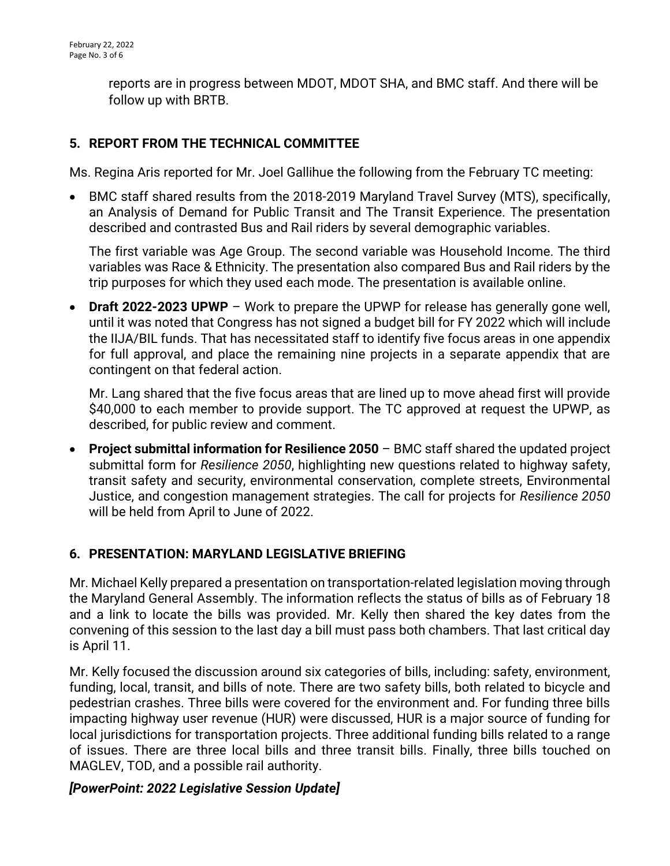reports are in progress between MDOT, MDOT SHA, and BMC staff. And there will be follow up with BRTB.

### **5. REPORT FROM THE TECHNICAL COMMITTEE**

Ms. Regina Aris reported for Mr. Joel Gallihue the following from the February TC meeting:

 BMC staff shared results from the 2018-2019 Maryland Travel Survey (MTS), specifically, an Analysis of Demand for Public Transit and The Transit Experience. The presentation described and contrasted Bus and Rail riders by several demographic variables.

The first variable was Age Group. The second variable was Household Income. The third variables was Race & Ethnicity. The presentation also compared Bus and Rail riders by the trip purposes for which they used each mode. The presentation is available online.

 **Draft 2022-2023 UPWP** – Work to prepare the UPWP for release has generally gone well, until it was noted that Congress has not signed a budget bill for FY 2022 which will include the IIJA/BIL funds. That has necessitated staff to identify five focus areas in one appendix for full approval, and place the remaining nine projects in a separate appendix that are contingent on that federal action.

Mr. Lang shared that the five focus areas that are lined up to move ahead first will provide \$40,000 to each member to provide support. The TC approved at request the UPWP, as described, for public review and comment.

 **Project submittal information for Resilience 2050** – BMC staff shared the updated project submittal form for *Resilience 2050*, highlighting new questions related to highway safety, transit safety and security, environmental conservation, complete streets, Environmental Justice, and congestion management strategies. The call for projects for *Resilience 2050* will be held from April to June of 2022.

#### **6. PRESENTATION: MARYLAND LEGISLATIVE BRIEFING**

Mr. Michael Kelly prepared a presentation on transportation-related legislation moving through the Maryland General Assembly. The information reflects the status of bills as of February 18 and a link to locate the bills was provided. Mr. Kelly then shared the key dates from the convening of this session to the last day a bill must pass both chambers. That last critical day is April 11.

Mr. Kelly focused the discussion around six categories of bills, including: safety, environment, funding, local, transit, and bills of note. There are two safety bills, both related to bicycle and pedestrian crashes. Three bills were covered for the environment and. For funding three bills impacting highway user revenue (HUR) were discussed, HUR is a major source of funding for local jurisdictions for transportation projects. Three additional funding bills related to a range of issues. There are three local bills and three transit bills. Finally, three bills touched on MAGLEV, TOD, and a possible rail authority.

#### *[PowerPoint: 2022 Legislative Session Update]*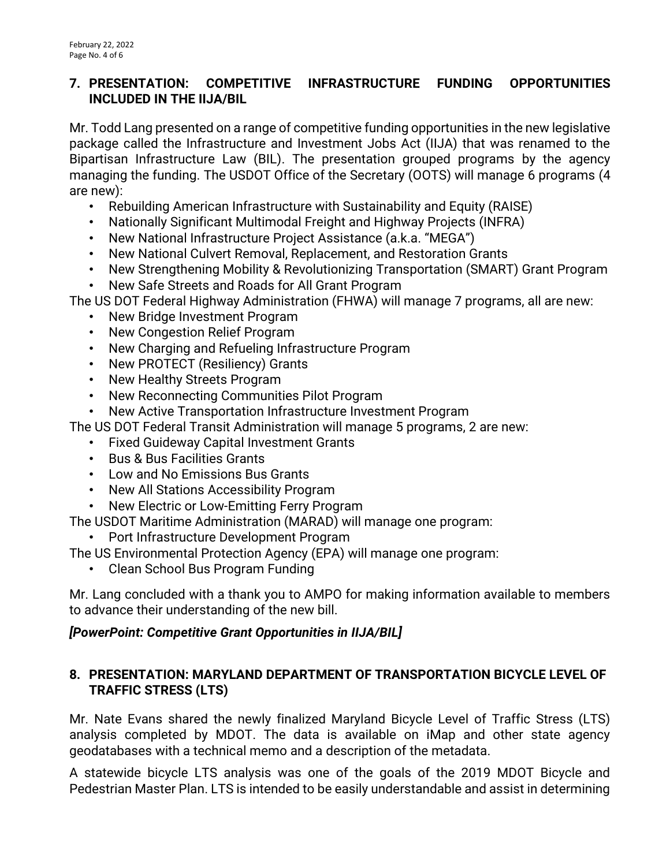#### **7. PRESENTATION: COMPETITIVE INFRASTRUCTURE FUNDING OPPORTUNITIES INCLUDED IN THE IIJA/BIL**

Mr. Todd Lang presented on a range of competitive funding opportunities in the new legislative package called the Infrastructure and Investment Jobs Act (IIJA) that was renamed to the Bipartisan Infrastructure Law (BIL). The presentation grouped programs by the agency managing the funding. The USDOT Office of the Secretary (OOTS) will manage 6 programs (4 are new):

- Rebuilding American Infrastructure with Sustainability and Equity (RAISE)
- Nationally Significant Multimodal Freight and Highway Projects (INFRA)
- New National Infrastructure Project Assistance (a.k.a. "MEGA")
- New National Culvert Removal, Replacement, and Restoration Grants
- New Strengthening Mobility & Revolutionizing Transportation (SMART) Grant Program
- New Safe Streets and Roads for All Grant Program

The US DOT Federal Highway Administration (FHWA) will manage 7 programs, all are new:

- New Bridge Investment Program
- New Congestion Relief Program
- New Charging and Refueling Infrastructure Program
- New PROTECT (Resiliency) Grants
- New Healthy Streets Program
- New Reconnecting Communities Pilot Program
- New Active Transportation Infrastructure Investment Program
- The US DOT Federal Transit Administration will manage 5 programs, 2 are new:
	- Fixed Guideway Capital Investment Grants
	- Bus & Bus Facilities Grants
	- Low and No Emissions Bus Grants
	- New All Stations Accessibility Program
	- New Electric or Low-Emitting Ferry Program
- The USDOT Maritime Administration (MARAD) will manage one program:
	- Port Infrastructure Development Program
- The US Environmental Protection Agency (EPA) will manage one program:
	- Clean School Bus Program Funding

Mr. Lang concluded with a thank you to AMPO for making information available to members to advance their understanding of the new bill.

#### *[PowerPoint: Competitive Grant Opportunities in IIJA/BIL]*

#### **8. PRESENTATION: MARYLAND DEPARTMENT OF TRANSPORTATION BICYCLE LEVEL OF TRAFFIC STRESS (LTS)**

Mr. Nate Evans shared the newly finalized Maryland Bicycle Level of Traffic Stress (LTS) analysis completed by MDOT. The data is available on iMap and other state agency geodatabases with a technical memo and a description of the metadata.

A statewide bicycle LTS analysis was one of the goals of the 2019 MDOT Bicycle and Pedestrian Master Plan. LTS is intended to be easily understandable and assist in determining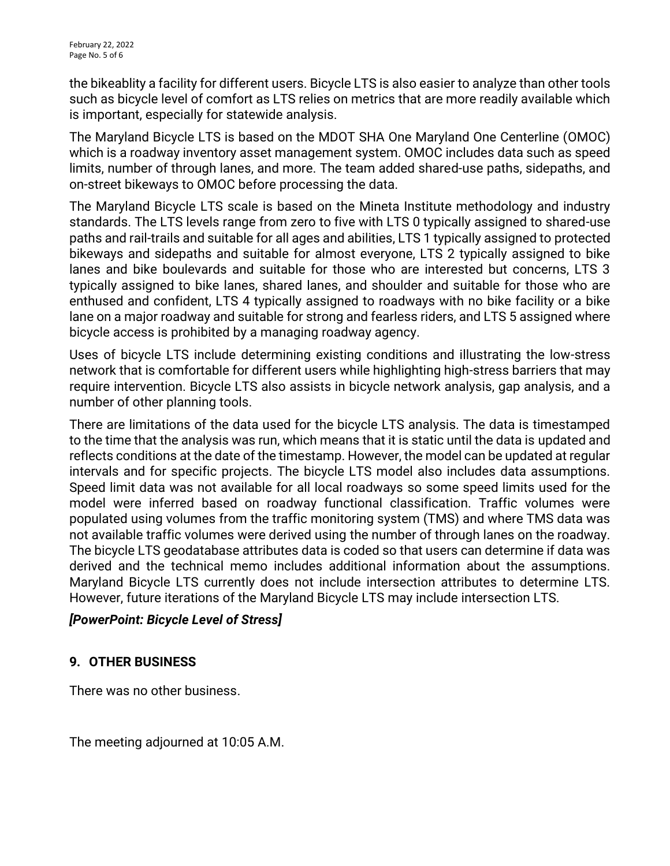the bikeablity a facility for different users. Bicycle LTS is also easier to analyze than other tools such as bicycle level of comfort as LTS relies on metrics that are more readily available which is important, especially for statewide analysis.

The Maryland Bicycle LTS is based on the MDOT SHA One Maryland One Centerline (OMOC) which is a roadway inventory asset management system. OMOC includes data such as speed limits, number of through lanes, and more. The team added shared-use paths, sidepaths, and on-street bikeways to OMOC before processing the data.

The Maryland Bicycle LTS scale is based on the Mineta Institute methodology and industry standards. The LTS levels range from zero to five with LTS 0 typically assigned to shared-use paths and rail-trails and suitable for all ages and abilities, LTS 1 typically assigned to protected bikeways and sidepaths and suitable for almost everyone, LTS 2 typically assigned to bike lanes and bike boulevards and suitable for those who are interested but concerns, LTS 3 typically assigned to bike lanes, shared lanes, and shoulder and suitable for those who are enthused and confident, LTS 4 typically assigned to roadways with no bike facility or a bike lane on a major roadway and suitable for strong and fearless riders, and LTS 5 assigned where bicycle access is prohibited by a managing roadway agency.

Uses of bicycle LTS include determining existing conditions and illustrating the low-stress network that is comfortable for different users while highlighting high-stress barriers that may require intervention. Bicycle LTS also assists in bicycle network analysis, gap analysis, and a number of other planning tools.

There are limitations of the data used for the bicycle LTS analysis. The data is timestamped to the time that the analysis was run, which means that it is static until the data is updated and reflects conditions at the date of the timestamp. However, the model can be updated at regular intervals and for specific projects. The bicycle LTS model also includes data assumptions. Speed limit data was not available for all local roadways so some speed limits used for the model were inferred based on roadway functional classification. Traffic volumes were populated using volumes from the traffic monitoring system (TMS) and where TMS data was not available traffic volumes were derived using the number of through lanes on the roadway. The bicycle LTS geodatabase attributes data is coded so that users can determine if data was derived and the technical memo includes additional information about the assumptions. Maryland Bicycle LTS currently does not include intersection attributes to determine LTS. However, future iterations of the Maryland Bicycle LTS may include intersection LTS.

#### *[PowerPoint: Bicycle Level of Stress]*

#### **9. OTHER BUSINESS**

There was no other business.

The meeting adjourned at 10:05 A.M.